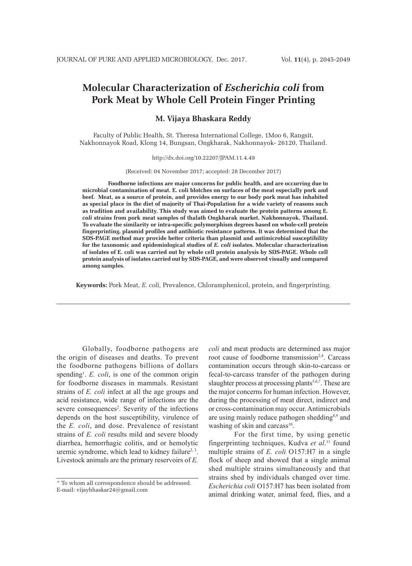# **Molecular Characterization of** *Escherichia coli* **from Pork Meat by Whole Cell Protein Finger Printing**

## **M. Vijaya Bhaskara Reddy**

Faculty of Public Health, St. Theresa International College, 1Moo 6, Rangsit, Nakhonnayok Road, Klong 14, Bungsan, Ongkharak, Nakhonnayok- 26120, Thailand.

#### http://dx.doi.org/10.22207/JPAM.11.4.49

(Received: 04 November 2017; accepted: 28 December 2017)

**Foodborne infections are major concerns for public health, and are occurring due to microbial contamination of meat. E. coli blotches on surfaces of the meat especially pork and beef. Meat, as a source of protein, and provides energy to our body pork meat has inhabited as special place in the diet of majority of Thai-Population for a wide variety of reasons such as tradition and availability. This study was aimed to evaluate the protein patterns among E***. coli* **strains from pork meat samples of thalath Ongkharak market, Nakhonnayok, Thailand. To evaluate the similarity or intra-specific polymorphism degrees based on whole-cell protein fingerprinting, plasmid profiles and antibiotic resistance patterns. It was determined that the SDS-PAGE method may provide better criteria than plasmid and antimicrobial susceptibility for the taxonomic and epidemiological studies of** *E. coli* **isolates. Molecular characterization of isolates of E. coli was carried out by whole cell protein analysis by SDS-PAGE. Whole cell protein analysis of isolates carried out by SDS-PAGE, and were observed visually and compared among samples.**

**Keywords:** Pork Meat, *E. coli,* Prevalence, Chloramphenicol, protein, and fingerprinting.

Globally, foodborne pathogens are the origin of diseases and deaths. To prevent the foodborne pathogens billions of dollars spending<sup>1</sup>. E. coli, is one of the common origin for foodborne diseases in mammals. Resistant strains of *E. coli* infect at all the age groups and acid resistance, wide range of infections are the severe consequences<sup>2</sup>. Severity of the infections depends on the host susceptibility, virulence of the *E. coli*, and dose. Prevalence of resistant strains of *E. coli* results mild and severe bloody diarrhea, hemorrhagic colitis, and or hemolytic uremic syndrome, which lead to kidney failure<sup>2, 3</sup>. Livestock animals are the primary reservoirs of *E.* 

*coli* and meat products are determined ass major root cause of foodborne transmission<sup>2,4</sup>. Carcass contamination occurs through skin-to-carcass or fecal-to-carcass transfer of the pathogen during slaughter process at processing plants<sup>5,6,7</sup>. These are the major concerns for human infection. However, during the processing of meat direct, indirect and or cross-contamination may occur. Antimicrobials are using mainly reduce pathogen shedding8,9 and washing of skin and carcass $10$ .

For the first time, by using genetic fingerprinting techniques, Kudva *et al*. 11 found multiple strains of *E. coli* O157:H7 in a single flock of sheep and showed that a single animal shed multiple strains simultaneously and that strains shed by individuals changed over time. *Escherichia coli* O157:H7 has been isolated from animal drinking water, animal feed, flies, and a

<sup>\*</sup> To whom all correspondence should be addressed. E-mail: vijaybhaskar24@gmail.com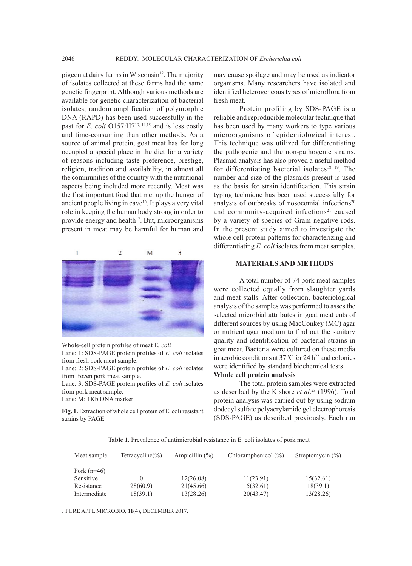pigeon at dairy farms in Wisconsin<sup>12</sup>. The majority of isolates collected at these farms had the same genetic fingerprint. Although various methods are available for genetic characterization of bacterial isolates, random amplification of polymorphic DNA (RAPD) has been used successfully in the past for *E. coli* O157: H7<sup>13, 14,15</sup> and is less costly and time-consuming than other methods. As a source of animal protein, goat meat has for long occupied a special place in the diet for a variety of reasons including taste preference, prestige, religion, tradition and availability, in almost all the communities of the country with the nutritional aspects being included more recently. Meat was the first important food that met up the hunger of ancient people living in cave<sup>16</sup>. It plays a very vital role in keeping the human body strong in order to provide energy and health $17$ . But, microorganisms present in meat may be harmful for human and



Whole-cell protein profiles of meat E*. coli*

Lane: 1: SDS-PAGE protein profiles of *E. coli* isolates from fresh pork meat sample.

Lane: 2: SDS-PAGE protein profiles of *E. coli* isolates from frozen pork meat sample.

Lane: 3: SDS-PAGE protein profiles of *E. coli* isolates from pork meat sample.

Lane: M: 1Kb DNA marker

**Fig. 1.** Extraction of whole cell protein of E. coli resistant strains by PAGE

may cause spoilage and may be used as indicator organisms. Many researchers have isolated and identified heterogeneous types of microflora from fresh meat.

Protein profiling by SDS-PAGE is a reliable and reproducible molecular technique that has been used by many workers to type various microorganisms of epidemiological interest. This technique was utilized for differentiating the pathogenic and the non-pathogenic strains. Plasmid analysis has also proved a useful method for differentiating bacterial isolates<sup>18, 19</sup>. The number and size of the plasmids present is used as the basis for strain identification. This strain typing technique has been used successfully for analysis of outbreaks of nosocomial infections<sup>20</sup> and community-acquired infections<sup>21</sup> caused by a variety of species of Gram negative rods. In the present study aimed to investigate the whole cell protein patterns for characterizing and differentiating *E. coli* isolates from meat samples.

### **MATERIALS AND METHODS**

A total number of 74 pork meat samples were collected equally from slaughter yards and meat stalls. After collection, bacteriological analysis of the samples was performed to asses the selected microbial attributes in goat meat cuts of different sources by using MacConkey (MC) agar or nutrient agar medium to find out the sanitary quality and identification of bacterial strains in goat meat. Bacteria were cultured on these media in aerobic conditions at  $37^{\circ}$ Cfor 24 h<sup>22</sup> and colonies were identified by standard biochemical tests.

### **Whole cell protein analysis**

The total protein samples were extracted as described by the Kishore *et al*. 23 (1996). Total protein analysis was carried out by using sodium dodecyl sulfate polyacrylamide gel electrophoresis (SDS-PAGE) as described previously. Each run

**Table 1.** Prevalence of antimicrobial resistance in E. coli isolates of pork meat

| Meat sample                                              | Tetracycline $(\% )$ | Ampicillin $(\%)$                   | Chloramphenicol $(\% )$             | Streptomycin $(\% )$               |  |
|----------------------------------------------------------|----------------------|-------------------------------------|-------------------------------------|------------------------------------|--|
| Pork $(n=46)$<br>Sensitive<br>Resistance<br>Intermediate | 28(60.9)<br>18(39.1) | 12(26.08)<br>21(45.66)<br>13(28.26) | 11(23.91)<br>15(32.61)<br>20(43.47) | 15(32.61)<br>18(39.1)<br>13(28.26) |  |

J PURE APPL MICROBIO*,* **11**(4), DECEMBER 2017.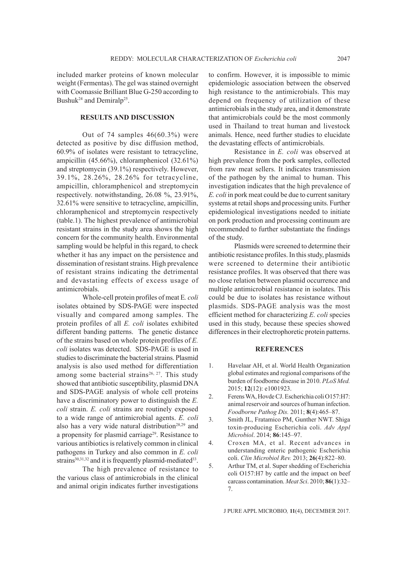included marker proteins of known molecular weight (Fermentas). The gel was stained overnight with Coomassie Brilliant Blue G-250 according to Bushuk<sup>24</sup> and Demiralp<sup>25</sup>.

## **RESULTS AND DISCUSSION**

Out of 74 samples 46(60.3%) were detected as positive by disc diffusion method, 60.9% of isolates were resistant to tetracycline, ampicillin (45.66%), chloramphenicol (32.61%) and streptomycin (39.1%) respectively. However, 39.1%, 28.26%, 28.26% for tetracycline, ampicillin, chloramphenicol and streptomycin respectively. notwithstanding, 26.08 %, 23.91%, 32.61% were sensitive to tetracycline, ampicillin, chloramphenicol and streptomycin respectively (table.1). The highest prevalence of antimicrobial resistant strains in the study area shows the high concern for the community health. Environmental sampling would be helpful in this regard, to check whether it has any impact on the persistence and dissemination of resistant strains. High prevalence of resistant strains indicating the detrimental and devastating effects of excess usage of antimicrobials.

Whole-cell protein profiles of meat E*. coli*  isolates obtained by SDS-PAGE were inspected visually and compared among samples. The protein profiles of all *E. coli* isolates exhibited different banding patterns. The genetic distance of the strains based on whole protein profiles of *E. coli* isolates was detected. SDS-PAGE is used in studies to discriminate the bacterial strains. Plasmid analysis is also used method for differentiation among some bacterial strains<sup>26, 27</sup>. This study showed that antibiotic susceptibility, plasmid DNA and SDS-PAGE analysis of whole cell proteins have a discriminatory power to distinguish the *E. coli* strain. *E. coli* strains are routinely exposed to a wide range of antimicrobial agents. *E. coli*  also has a very wide natural distribution<sup>28,29</sup> and a propensity for plasmid carriage<sup>29</sup>. Resistance to various antibiotics is relatively common in clinical pathogens in Turkey and also common in *E. coli*  strains $30,31,32$  and it is frequently plasmid-mediated  $33$ .

The high prevalence of resistance to the various class of antimicrobials in the clinical and animal origin indicates further investigations to confirm. However, it is impossible to mimic epidemiologic association between the observed high resistance to the antimicrobials. This may depend on frequency of utilization of these antimicrobials in the study area, and it demonstrate that antimicrobials could be the most commonly used in Thailand to treat human and livestock animals. Hence, need further studies to elucidate the devastating effects of antimicrobials.

Resistance in *E. coli* was observed at high prevalence from the pork samples, collected from raw meat sellers. It indicates transmission of the pathogen by the animal to human. This investigation indicates that the high prevalence of *E. coli* in pork meat could be due to current sanitary systems at retail shops and processing units. Further epidemiological investigations needed to initiate on pork production and processing continuum are recommended to further substantiate the findings of the study.

Plasmids were screened to determine their antibiotic resistance profiles. In this study, plasmids were screened to determine their antibiotic resistance profiles. It was observed that there was no close relation between plasmid occurrence and multiple antimicrobial resistance in isolates. This could be due to isolates has resistance without plasmids. SDS-PAGE analysis was the most efficient method for characterizing *E. coli* species used in this study, because these species showed differences in their electrophoretic protein patterns.

### **REFERENCES**

- 1. Havelaar AH, et al. World Health Organization global estimates and regional comparisons of the burden of foodborne disease in 2010. *PLoS Med.* 2015; **12**(12): e1001923.
- 2. Ferens WA, Hovde CJ. Escherichia coli O157:H7: animal reservoir and sources of human infection. *Foodborne Pathog Dis.* 2011; **8**(4):465–87.
- 3. Smith JL, Fratamico PM, Gunther NWT. Shiga toxin-producing Escherichia coli. *Adv Appl Microbiol*. 2014; **86**:145–97.
- 4. Croxen MA, et al. Recent advances in understanding enteric pathogenic Escherichia coli. *Clin Microbiol Rev.* 2013; **26**(4):822–80.
- 5. Arthur TM, et al. Super shedding of Escherichia coli O157:H7 by cattle and the impact on beef carcass contamination. *Meat Sci*. 2010; **86**(1):32– 7.

J PURE APPL MICROBIO*,* **11**(4), DECEMBER 2017.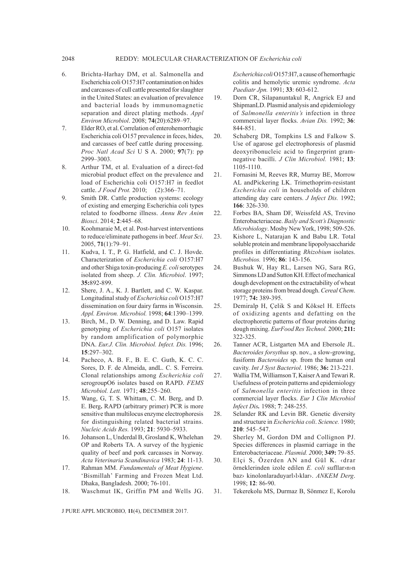- 6. Brichta-Harhay DM, et al. Salmonella and Escherichia coli O157:H7 contamination on hides and carcasses of cull cattle presented for slaughter in the United States: an evaluation of prevalence and bacterial loads by immunomagnetic separation and direct plating methods. *Appl Environ Microbiol*. 2008; **74**(20):6289–97.
- 7. Elder RO, et al. Correlation of enterohemorrhagic Escherichia coli O157 prevalence in feces, hides, and carcasses of beef cattle during processing. *Proc Natl Acad Sci* U S A. 2000; **97**(7): pp 2999–3003.
- 8. Arthur TM, et al. Evaluation of a direct-fed microbial product effect on the prevalence and load of Escherichia coli O157:H7 in feedlot cattle. *J Food Prot.* 2010; **73**(2):366–71.
- 9. Smith DR. Cattle production systems: ecology of existing and emerging Escherichia coli types related to foodborne illness. *Annu Rev Anim Biosci*. 2014; **2**:445–68.
- 10. Koohmaraie M, et al. Post-harvest interventions to reduce/eliminate pathogens in beef. *Meat Sci*. 2005, **71**(1):79–91.
- 11. Kudva, I. T., P. G. Hatfield, and C. J. Hovde. Characterization of *Escherichia coli* O157:H7 and other Shiga toxin-producing *E. coli* serotypes isolated from sheep. *J. Clin. Microbiol*. 1997; **35:**892-899.
- 12. Shere, J. A., K. J. Bartlett, and C. W. Kaspar. Longitudinal study of *Escherichia coli* O157:H7 dissemination on four dairy farms in Wisconsin. *Appl. Environ. Microbiol.* 1998; **64**:1390–1399.
- 13. Birch, M., D. W. Denning, and D. Law. Rapid genotyping of *Escherichia coli* O157 isolates by random amplification of polymorphic DNA. *Eur.J. Clin. Microbiol. Infect. Dis.* 1996; **15**:297–302.
- 14. Pacheco, A. B. F., B. E. C. Guth, K. C. C. Sores, D. F. de Almeida, andL. C. S. Ferreira. Clonal relationships among *Escherichia coli*  serogroupO6 isolates based on RAPD. *FEMS Microbiol. Lett.* 1971; **48**:255–260.
- 15. Wang, G, T. S. Whittam, C. M. Berg, and D. E. Berg**.** RAPD (arbitrary primer) PCR is more sensitive than multilocus enzyme electrophoresis for distinguishing related bacterial strains. *Nucleic Acids Res.* 1993; **21**: 5930–5933.
- 16. Johanson L, Underdal B, Grosland K, Whelehan OP and Roberts TA. A survey of the hygienic quality of beef and pork carcasses in Norway. *Acta Veterinaria Scandinavica* 1983; **24**: 11-13.
- 17. Rahman MM. *Fundamentals of Meat Hygiene*. 'Bismillah' Farming and Frozen Meat Ltd. Dhaka, Bangladesh. 2000; 76-101.
- 18. Waschmut IK, Griffin PM and Wells JG.

J PURE APPL MICROBIO*,* **11**(4), DECEMBER 2017.

*Escherichia coli* O157:H7, a cause of hemorrhagic colitis and hemolytic uremic syndrome. *Acta Paediatr Jpn.* 1991; **33**: 603-612.

- 19. Dorn CR, Silapanuntakul R, Angrick EJ and ShipmanLD. Plasmid analysis and epidemiology of *Salmonella enteritis's* infection in three commercial layer flocks. *Avian Dis.* 1992; **36**: 844-851.
- 20. Schaberg DR, Tompkins LS and Falkow S. Use of agarose gel electrophoresis of plasmid deoxyribonucleic acid to fingerprint gramnegative bacilli. *J Clin Microbiol.* 1981; **13**: 1105-1110.
- 21. Fornasini M, Reeves RR, Murray BE, Morrow AL andPickering LK. Trimethoprim-resistant *Escherichia coli* in households of children attending day care centers. *J Infect Dis.* 1992; **166**: 326-330.
- 22. Forbes BA, Sham DF, Weissfeld AS, Trevino Enterobacteriaceae. *Baily and Scott's Diagnostic Microbiology*. Mosby New York, 1998; 509-526.
- 23. Kishore L, Natarajan K and Babu LR. Total soluble protein and membrane lipopolysaccharide profiles in differentiating *Rhizobium* isolates. *Microbios.* 1996; **86**: 143-156.
- 24. Bushuk W, Hay RL, Larsen NG, Sara RG, Simmons LD and Sutton KH. Effect of mechanical dough development on the extractability of wheat storage proteins from bread dough. *Cereal Chem*. 1977; **74:** 389-395.
- 25. Demiralp H, Çelik S and Köksel H. Effects of oxidizing agents and defatting on the electrophoretic patterns of flour proteins during dough mixing. *EurFood Res Technol.* 2000; **211:**  322-325.
- 26. Tanner ACR, Listgarten MA and Ebersole JL. *Bacteroides forsythus* sp. nov., a slow-growing, fusiform *Bacteroides* sp. from the human oral cavity. *Int J Syst Bacteriol*. 1986; **36:** 213-221.
- 27. Wallia TM, Williamson T, Kaiser A and Tewari R. Usefulness of protein patterns and epidemiology of *Salmonella enteritis* infection in three commercial layer flocks. *Eur* J *Clin Microbiol Infect Dis.* 1988; **7**: 248-255.
- 28. Selander RK and Levin BR. Genetic diversity and structure in *Escherichia coli*. *Science.* 1980; **210**: 545–547.
- 29. Sherley M, Gordon DM and Collignon PJ. Species differences in plasmid carriage in the Enterobacteriaceae. *Plasmid. 2*000; **349:** 79–85.
- 30. Elçi S, Özerden AN and Gül K. ‹drar örneklerinden izole edilen *E. coli* sufllar›n›n baz› kinolonlaraduyarl›l›klar›. *ANKEM Derg*. 1998; **12**: 86-90.
- 31. Tekerekolu MS, Durmaz B, Sönmez E, Korolu